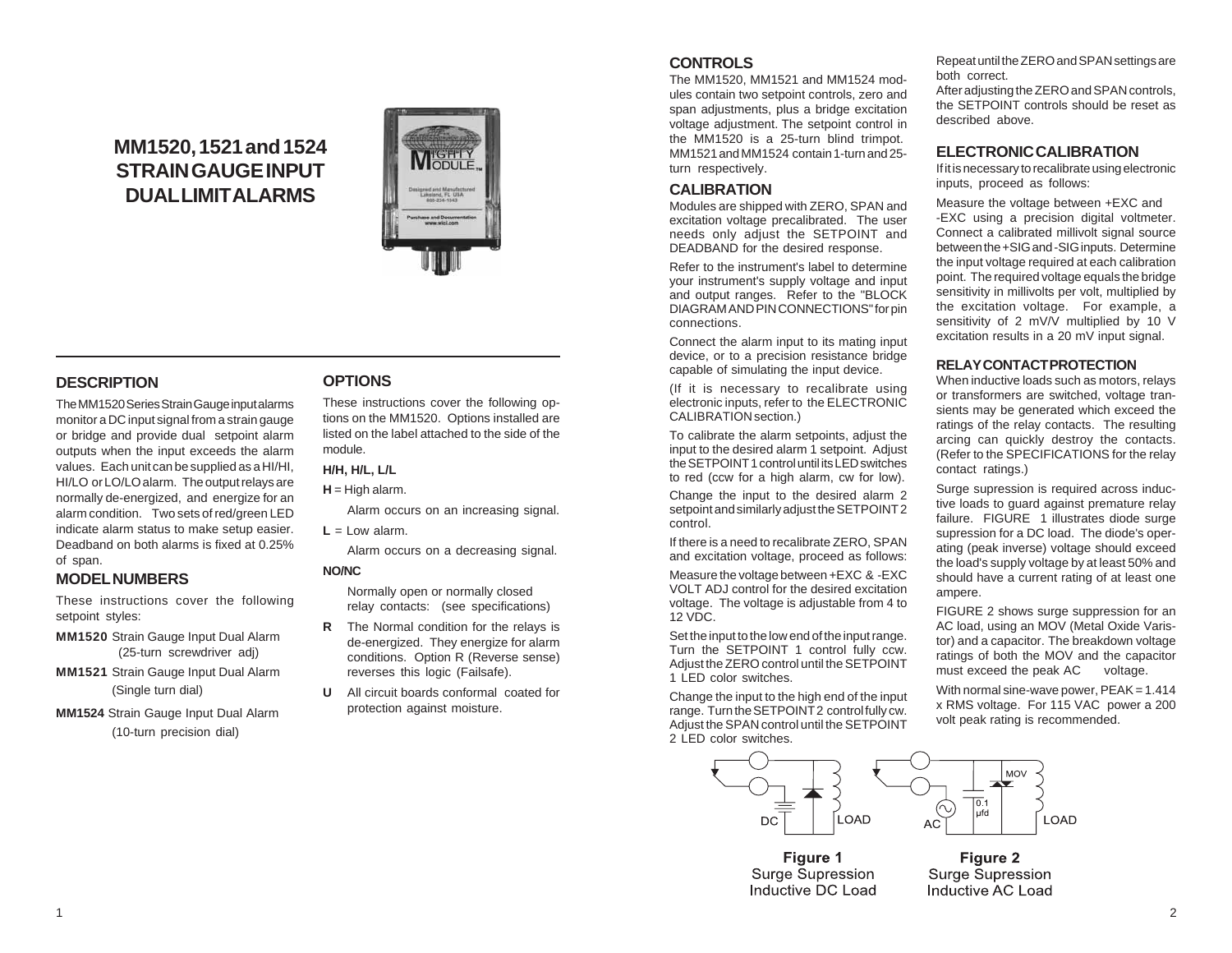# **MM1520, 1521 and 1524 STRAIN GAUGE INPUT DUAL LIMIT ALARMS**



# **DESCRIPTION**

The MM1520 Series Strain Gauge input alarms monitor a DC input signal from a strain gauge or bridge and provide dual setpoint alarm outputs when the input exceeds the alarm values. Each unit can be supplied as a HI/HI, HI/LO or LO/LO alarm. The output relays are normally de-energized, and energize for an alarm condition. Two sets of red/green LED indicate alarm status to make setup easier. Deadband on both alarms is fixed at 0.25% of span.

## **MODEL NUMBERS**

These instructions cover the following setpoint styles:

- **MM1520** Strain Gauge Input Dual Alarm (25-turn screwdriver adj)
- **MM1521** Strain Gauge Input Dual Alarm (Single turn dial)
- **MM1524** Strain Gauge Input Dual Alarm (10-turn precision dial)

# **OPTIONS**

These instructions cover the following options on the MM1520. Options installed are listed on the label attached to the side of the module.

#### **H/H, H/L, L/L**

**H** = High alarm.

Alarm occurs on an increasing signal.

 $L = Low$  alarm.

Alarm occurs on a decreasing signal.

#### **NO/NC**

Normally open or normally closed relay contacts: (see specifications)

- **R** The Normal condition for the relays is de-energized. They energize for alarm conditions. Option R (Reverse sense) reverses this logic (Failsafe).
- **U** All circuit boards conformal coated for protection against moisture.

# **CONTROLS**

The MM1520, MM1521 and MM1524 modules contain two setpoint controls, zero and span adjustments, plus a bridge excitation voltage adjustment. The setpoint control in the MM1520 is a 25-turn blind trimpot. MM1521 and MM1524 contain 1-turn and 25 turn respectively.

## **CALIBRATION**

Modules are shipped with ZERO, SPAN and excitation voltage precalibrated. The user needs only adjust the SETPOINT and DEADBAND for the desired response.

Refer to the instrument's label to determine your instrument's supply voltage and input and output ranges. Refer to the "BLOCK DIAGRAM AND PIN CONNECTIONS" for pin connections.

Connect the alarm input to its mating input device, or to a precision resistance bridge capable of simulating the input device.

(If it is necessary to recalibrate using electronic inputs, refer to the ELECTRONIC CALIBRATION section.)

To calibrate the alarm setpoints, adjust the input to the desired alarm 1 setpoint. Adjust the SETPOINT 1 control until its LED switches to red (ccw for a high alarm, cw for low).

Change the input to the desired alarm 2 setpoint and similarly adjust the SETPOINT 2 control.

If there is a need to recalibrate ZERO, SPAN and excitation voltage, proceed as follows:

Measure the voltage between +EXC & -EXC VOLT ADJ control for the desired excitation voltage. The voltage is adjustable from 4 to 12 VDC.

Set the input to the low end of the input range. Turn the SETPOINT 1 control fully ccw. Adjust the ZERO control until the SETPOINT 1 LED color switches.

Change the input to the high end of the input range. Turn the SETPOINT 2 control fully cw. Adjust the SPAN control until the SETPOINT 2 LED color switches.



Figure 1 **Surge Supression** Inductive DC Load Repeat until the ZERO and SPAN settings are both correct.

After adjusting the ZERO and SPAN controls, the SETPOINT controls should be reset as described above.

#### **ELECTRONIC CALIBRATION**

If it is necessary to recalibrate using electronic inputs, proceed as follows:

Measure the voltage between +EXC and -EXC using a precision digital voltmeter. Connect a calibrated millivolt signal source between the +SIG and -SIG inputs. Determine the input voltage required at each calibration point. The required voltage equals the bridge sensitivity in millivolts per volt, multiplied by the excitation voltage. For example, a sensitivity of 2 mV/V multiplied by 10 V excitation results in a 20 mV input signal.

#### **RELAY CONTACT PROTECTION**

When inductive loads such as motors, relays or transformers are switched, voltage transients may be generated which exceed the ratings of the relay contacts. The resulting arcing can quickly destroy the contacts. (Refer to the SPECIFICATIONS for the relay contact ratings.)

Surge supression is required across inductive loads to guard against premature relay failure. FIGURE 1 illustrates diode surge supression for a DC load. The diode's operating (peak inverse) voltage should exceed the load's supply voltage by at least 50% and should have a current rating of at least one ampere.

FIGURE 2 shows surge suppression for an AC load, using an MOV (Metal Oxide Varistor) and a capacitor. The breakdown voltage ratings of both the MOV and the capacitor must exceed the peak AC voltage.

With normal sine-wave power,  $PEAK = 1.414$ x RMS voltage. For 115 VAC power a 200 volt peak rating is recommended.

Figure 2

**Surge Supression** 

Inductive AC Load